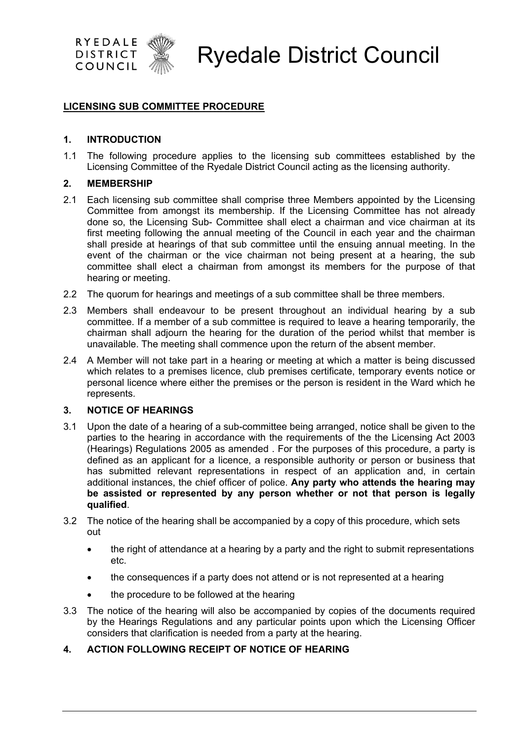

## **LICENSING SUB COMMITTEE PROCEDURE**

#### **1. INTRODUCTION**

1.1 The following procedure applies to the licensing sub committees established by the Licensing Committee of the Ryedale District Council acting as the licensing authority.

#### **2. MEMBERSHIP**

- 2.1 Each licensing sub committee shall comprise three Members appointed by the Licensing Committee from amongst its membership. If the Licensing Committee has not already done so, the Licensing Sub- Committee shall elect a chairman and vice chairman at its first meeting following the annual meeting of the Council in each year and the chairman shall preside at hearings of that sub committee until the ensuing annual meeting. In the event of the chairman or the vice chairman not being present at a hearing, the sub committee shall elect a chairman from amongst its members for the purpose of that hearing or meeting.
- 2.2 The quorum for hearings and meetings of a sub committee shall be three members.
- 2.3 Members shall endeavour to be present throughout an individual hearing by a sub committee. If a member of a sub committee is required to leave a hearing temporarily, the chairman shall adjourn the hearing for the duration of the period whilst that member is unavailable. The meeting shall commence upon the return of the absent member.
- 2.4 A Member will not take part in a hearing or meeting at which a matter is being discussed which relates to a premises licence, club premises certificate, temporary events notice or personal licence where either the premises or the person is resident in the Ward which he represents.

#### **3. NOTICE OF HEARINGS**

- 3.1 Upon the date of a hearing of a sub-committee being arranged, notice shall be given to the parties to the hearing in accordance with the requirements of the the Licensing Act 2003 (Hearings) Regulations 2005 as amended . For the purposes of this procedure, a party is defined as an applicant for a licence, a responsible authority or person or business that has submitted relevant representations in respect of an application and, in certain additional instances, the chief officer of police. **Any party who attends the hearing may be assisted or represented by any person whether or not that person is legally qualified**.
- 3.2 The notice of the hearing shall be accompanied by a copy of this procedure, which sets out
	- the right of attendance at a hearing by a party and the right to submit representations etc.
	- the consequences if a party does not attend or is not represented at a hearing
	- the procedure to be followed at the hearing
- 3.3 The notice of the hearing will also be accompanied by copies of the documents required by the Hearings Regulations and any particular points upon which the Licensing Officer considers that clarification is needed from a party at the hearing.
- **4. ACTION FOLLOWING RECEIPT OF NOTICE OF HEARING**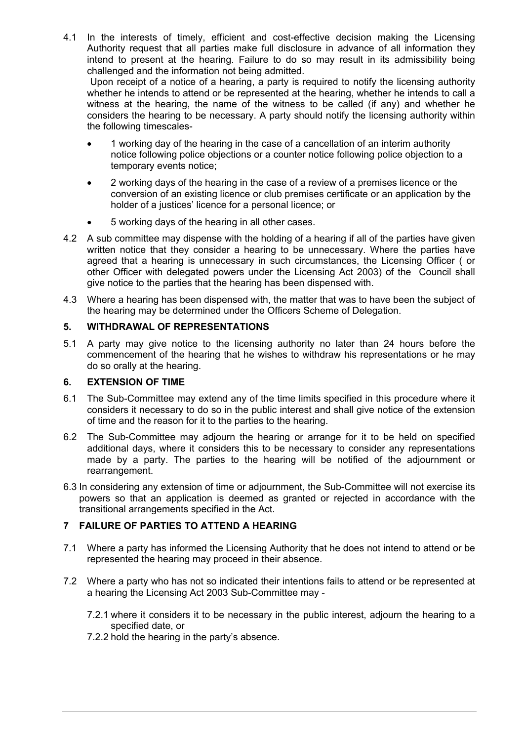4.1 In the interests of timely, efficient and cost-effective decision making the Licensing Authority request that all parties make full disclosure in advance of all information they intend to present at the hearing. Failure to do so may result in its admissibility being challenged and the information not being admitted.

 Upon receipt of a notice of a hearing, a party is required to notify the licensing authority whether he intends to attend or be represented at the hearing, whether he intends to call a witness at the hearing, the name of the witness to be called (if any) and whether he considers the hearing to be necessary. A party should notify the licensing authority within the following timescales-

- 1 working day of the hearing in the case of a cancellation of an interim authority notice following police objections or a counter notice following police objection to a temporary events notice;
- 2 working days of the hearing in the case of a review of a premises licence or the conversion of an existing licence or club premises certificate or an application by the holder of a justices' licence for a personal licence; or
- 5 working days of the hearing in all other cases.
- 4.2 A sub committee may dispense with the holding of a hearing if all of the parties have given written notice that they consider a hearing to be unnecessary. Where the parties have agreed that a hearing is unnecessary in such circumstances, the Licensing Officer ( or other Officer with delegated powers under the Licensing Act 2003) of the Council shall give notice to the parties that the hearing has been dispensed with.
- 4.3 Where a hearing has been dispensed with, the matter that was to have been the subject of the hearing may be determined under the Officers Scheme of Delegation.

# **5. WITHDRAWAL OF REPRESENTATIONS**

5.1 A party may give notice to the licensing authority no later than 24 hours before the commencement of the hearing that he wishes to withdraw his representations or he may do so orally at the hearing.

# **6. EXTENSION OF TIME**

- 6.1 The Sub-Committee may extend any of the time limits specified in this procedure where it considers it necessary to do so in the public interest and shall give notice of the extension of time and the reason for it to the parties to the hearing.
- 6.2 The Sub-Committee may adjourn the hearing or arrange for it to be held on specified additional days, where it considers this to be necessary to consider any representations made by a party. The parties to the hearing will be notified of the adjournment or rearrangement.
- 6.3 In considering any extension of time or adjournment, the Sub-Committee will not exercise its powers so that an application is deemed as granted or rejected in accordance with the transitional arrangements specified in the Act.

# **7 FAILURE OF PARTIES TO ATTEND A HEARING**

- 7.1 Where a party has informed the Licensing Authority that he does not intend to attend or be represented the hearing may proceed in their absence.
- 7.2 Where a party who has not so indicated their intentions fails to attend or be represented at a hearing the Licensing Act 2003 Sub-Committee may -
	- 7.2.1 where it considers it to be necessary in the public interest, adjourn the hearing to a specified date, or
	- 7.2.2 hold the hearing in the party's absence.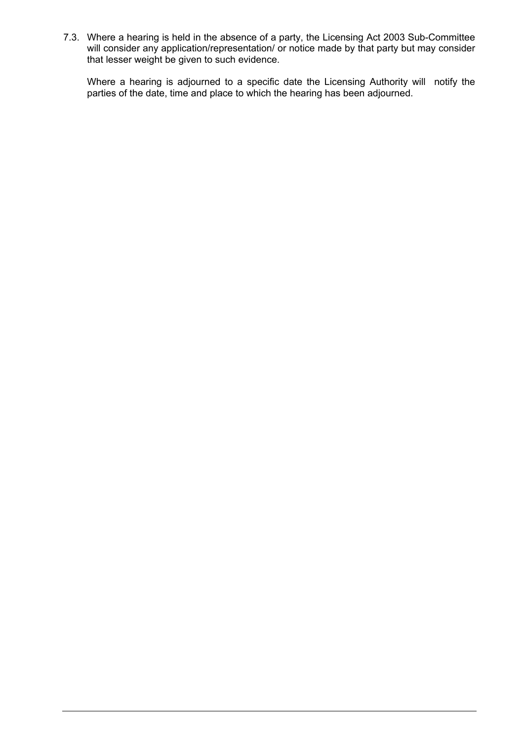7.3. Where a hearing is held in the absence of a party, the Licensing Act 2003 Sub-Committee will consider any application/representation/ or notice made by that party but may consider that lesser weight be given to such evidence.

Where a hearing is adjourned to a specific date the Licensing Authority will notify the parties of the date, time and place to which the hearing has been adjourned.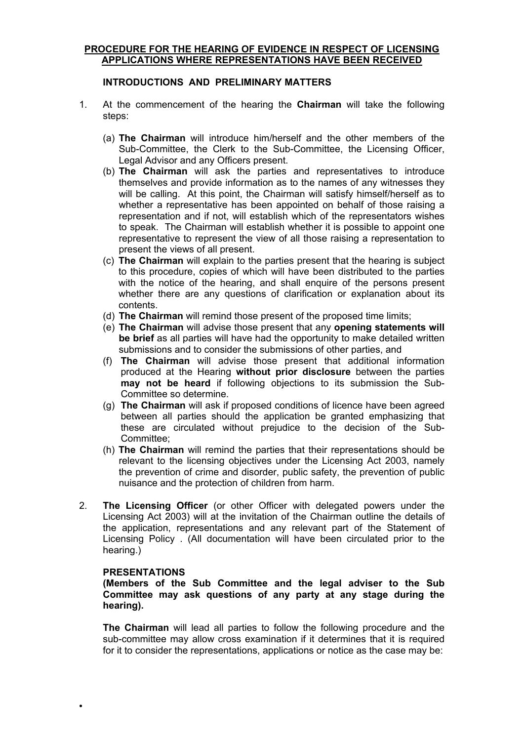## **PROCEDURE FOR THE HEARING OF EVIDENCE IN RESPECT OF LICENSING APPLICATIONS WHERE REPRESENTATIONS HAVE BEEN RECEIVED**

# **INTRODUCTIONS AND PRELIMINARY MATTERS**

- 1. At the commencement of the hearing the **Chairman** will take the following steps:
	- (a) **The Chairman** will introduce him/herself and the other members of the Sub-Committee, the Clerk to the Sub-Committee, the Licensing Officer, Legal Advisor and any Officers present.
	- (b) **The Chairman** will ask the parties and representatives to introduce themselves and provide information as to the names of any witnesses they will be calling. At this point, the Chairman will satisfy himself/herself as to whether a representative has been appointed on behalf of those raising a representation and if not, will establish which of the representators wishes to speak. The Chairman will establish whether it is possible to appoint one representative to represent the view of all those raising a representation to present the views of all present.
	- (c) **The Chairman** will explain to the parties present that the hearing is subject to this procedure, copies of which will have been distributed to the parties with the notice of the hearing, and shall enquire of the persons present whether there are any questions of clarification or explanation about its contents.
	- (d) **The Chairman** will remind those present of the proposed time limits;
	- (e) **The Chairman** will advise those present that any **opening statements will be brief** as all parties will have had the opportunity to make detailed written submissions and to consider the submissions of other parties, and
	- (f) **The Chairman** will advise those present that additional information produced at the Hearing **without prior disclosure** between the parties **may not be heard** if following objections to its submission the Sub-Committee so determine.
	- (g) **The Chairman** will ask if proposed conditions of licence have been agreed between all parties should the application be granted emphasizing that these are circulated without prejudice to the decision of the Sub-Committee;
	- (h) **The Chairman** will remind the parties that their representations should be relevant to the licensing objectives under the Licensing Act 2003, namely the prevention of crime and disorder, public safety, the prevention of public nuisance and the protection of children from harm.
- 2. **The Licensing Officer** (or other Officer with delegated powers under the Licensing Act 2003) will at the invitation of the Chairman outline the details of the application, representations and any relevant part of the Statement of Licensing Policy . (All documentation will have been circulated prior to the hearing.)

#### **PRESENTATIONS**

 $\bullet$ 

**(Members of the Sub Committee and the legal adviser to the Sub Committee may ask questions of any party at any stage during the hearing).**

**The Chairman** will lead all parties to follow the following procedure and the sub-committee may allow cross examination if it determines that it is required for it to consider the representations, applications or notice as the case may be: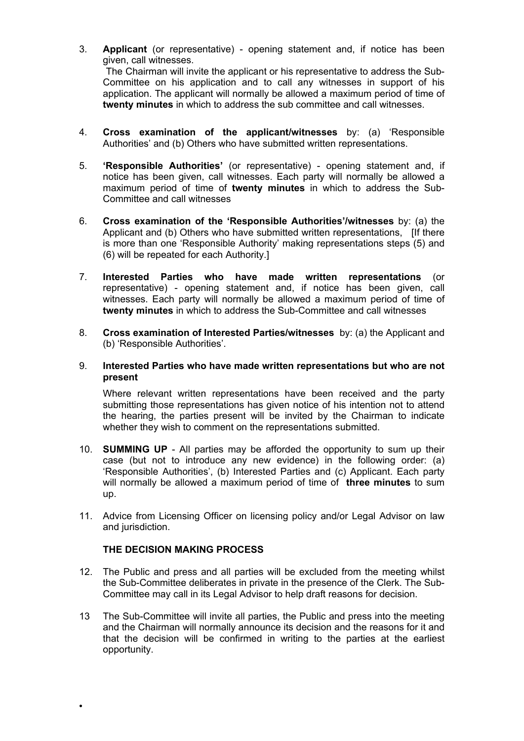- 3. **Applicant** (or representative) opening statement and, if notice has been given, call witnesses. The Chairman will invite the applicant or his representative to address the Sub-Committee on his application and to call any witnesses in support of his application. The applicant will normally be allowed a maximum period of time of **twenty minutes** in which to address the sub committee and call witnesses.
- 4. **Cross examination of the applicant/witnesses** by: (a) 'Responsible Authorities' and (b) Others who have submitted written representations.
- 5. **'Responsible Authorities'** (or representative) opening statement and, if notice has been given, call witnesses. Each party will normally be allowed a maximum period of time of **twenty minutes** in which to address the Sub-Committee and call witnesses
- 6. **Cross examination of the 'Responsible Authorities'/witnesses** by: (a) the Applicant and (b) Others who have submitted written representations, [If there is more than one 'Responsible Authority' making representations steps (5) and (6) will be repeated for each Authority.]
- 7. **Interested Parties who have made written representations** (or representative) - opening statement and, if notice has been given, call witnesses. Each party will normally be allowed a maximum period of time of **twenty minutes** in which to address the Sub-Committee and call witnesses
- 8. **Cross examination of Interested Parties/witnesses** by: (a) the Applicant and (b) 'Responsible Authorities'.
- 9. **Interested Parties who have made written representations but who are not present**

Where relevant written representations have been received and the party submitting those representations has given notice of his intention not to attend the hearing, the parties present will be invited by the Chairman to indicate whether they wish to comment on the representations submitted.

- 10. **SUMMING UP** All parties may be afforded the opportunity to sum up their case (but not to introduce any new evidence) in the following order: (a) 'Responsible Authorities', (b) Interested Parties and (c) Applicant. Each party will normally be allowed a maximum period of time of **three minutes** to sum up.
- 11. Advice from Licensing Officer on licensing policy and/or Legal Advisor on law and jurisdiction.

## **THE DECISION MAKING PROCESS**

 $\bullet$ 

- 12. The Public and press and all parties will be excluded from the meeting whilst the Sub-Committee deliberates in private in the presence of the Clerk. The Sub-Committee may call in its Legal Advisor to help draft reasons for decision.
- 13 The Sub-Committee will invite all parties, the Public and press into the meeting and the Chairman will normally announce its decision and the reasons for it and that the decision will be confirmed in writing to the parties at the earliest opportunity.